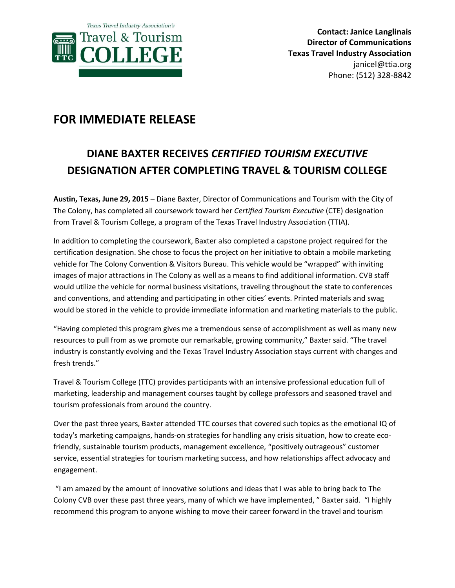

## **FOR IMMEDIATE RELEASE**

## **DIANE BAXTER RECEIVES** *CERTIFIED TOURISM EXECUTIVE* **DESIGNATION AFTER COMPLETING TRAVEL & TOURISM COLLEGE**

**Austin, Texas, June 29, 2015** – Diane Baxter, Director of Communications and Tourism with the City of The Colony, has completed all coursework toward her *Certified Tourism Executive* (CTE) designation from Travel & Tourism College, a program of the Texas Travel Industry Association (TTIA).

In addition to completing the coursework, Baxter also completed a capstone project required for the certification designation. She chose to focus the project on her initiative to obtain a mobile marketing vehicle for The Colony Convention & Visitors Bureau. This vehicle would be "wrapped" with inviting images of major attractions in The Colony as well as a means to find additional information. CVB staff would utilize the vehicle for normal business visitations, traveling throughout the state to conferences and conventions, and attending and participating in other cities' events. Printed materials and swag would be stored in the vehicle to provide immediate information and marketing materials to the public.

"Having completed this program gives me a tremendous sense of accomplishment as well as many new resources to pull from as we promote our remarkable, growing community," Baxter said. "The travel industry is constantly evolving and the Texas Travel Industry Association stays current with changes and fresh trends."

Travel & Tourism College (TTC) provides participants with an intensive professional education full of marketing, leadership and management courses taught by college professors and seasoned travel and tourism professionals from around the country.

Over the past three years, Baxter attended TTC courses that covered such topics as the emotional IQ of today's marketing campaigns, hands-on strategies for handling any crisis situation, how to create ecofriendly, sustainable tourism products, management excellence, "positively outrageous" customer service, essential strategies for tourism marketing success, and how relationships affect advocacy and engagement.

"I am amazed by the amount of innovative solutions and ideas that I was able to bring back to The Colony CVB over these past three years, many of which we have implemented, " Baxter said. "I highly recommend this program to anyone wishing to move their career forward in the travel and tourism